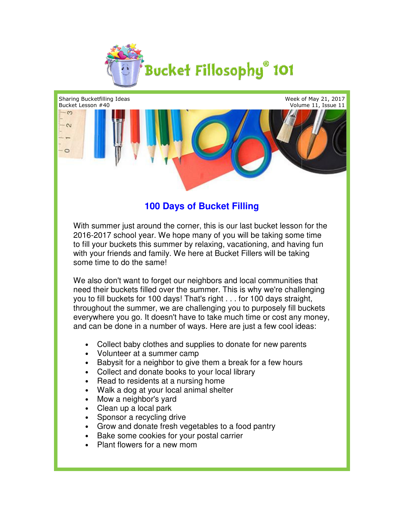



## **100 Days of Bucket Filling**

With summer just around the corner, this is our last bucket lesson for the 2016-2017 school year. We hope many of you will be taking some time to fill your buckets this summer by relaxing, vacationing, and having fun with your friends and family. We here at Bucket Fillers will be taking some time to do the same!

We also don't want to forget our neighbors and local communities that need their buckets filled over the summer. This is why we're challenging you to fill buckets for 100 days! That's right . . . for 100 days straight, throughout the summer, we are challenging you to purposely fill buckets everywhere you go. It doesn't have to take much time or cost any money, and can be done in a number of ways. Here are just a few cool ideas: 2017 school year. We hope many of you will be taking some time<br>your buckets this summer by relaxing, vacationing, and having fun<br>our friends and family. We here at Bucket Fillers will be taking<br>time to do the same!<br>so don' ywhere you go. It doesn't have to take much time or cost any money,<br>can be done in a number of ways. Here are just a few cool ideas:<br>Collect baby clothes and supplies to donate for new parents rner, this is our last bucket lesson for the<br>e many of you will be taking some time<br>oy relaxing, vacationing, and having fun<br>here at Bucket Fillers will be taking<br>neighbors and local communities that<br>e summer. This is why

- Collect baby clothes and supplies to donate for new parents
- Volunteer at a summer camp
- Babysit for a neighbor to give them a break for a few hours<br>• Collect and donate books to your local library<br>• Read to residents at a nursing home<br>• Walk a dog at your local animal shelter
- Collect and donate books to your local library
- Read to residents at a nursing home
- Walk a dog at your local animal shelter
- Mow a neighbor's yard
- Clean up a local park
- Sponsor a recycling drive
- Sponsor a recycling drive<br>• Grow and donate fresh vegetables to a food pantry
- Bake some cookies for your postal carrier
- Plant flowers for a new mom